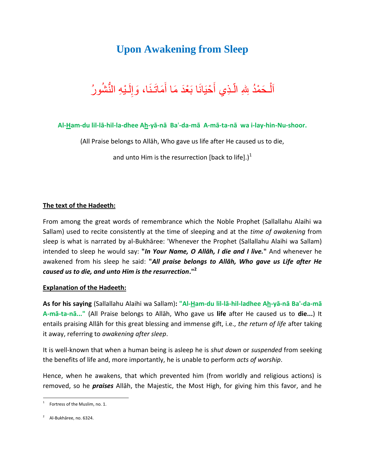## **Upon Awakening from Sleep**



## **Al-Ham-du lil-lā-hil-la-dhee Ah-yā-nā Ba**'**-da-mā A-mā-ta-nā wa i-lay-hin-Nu-shoor.**

(All Praise belongs to Allāh, Who gave us life after He caused us to die,

and unto Him is the resurrection [back to life].)<sup>1</sup>

## **The text of the Hadeeth:**

From among the great words of remembrance which the Noble Prophet (Sallallahu Alaihi wa Sallam) used to recite consistently at the time of sleeping and at the *time of awakening* from sleep is what is narrated by al-Bukhāree: 'Whenever the Prophet (Sallallahu Alaihi wa Sallam) intended to sleep he would say: **"***In Your Name, O Allāh, I die and I live.***"** And whenever he awakened from his sleep he said: **"***All praise belongs to Allāh, Who gave us Life after He caused us to die, and unto Him is the resurrection***."<sup>2</sup>**

## **Explanation of the Hadeeth:**

**As for his saying** (Sallallahu Alaihi wa Sallam)**: "Al-Ham-du lil-lā-hil-ladhee Ah-yā-nā Ba'-da-mā A-mā-ta-nā..."** (All Praise belongs to Allāh, Who gave us **life** after He caused us to **die...**) It entails praising Allāh for this great blessing and immense gift, i.e., *the return of life* after taking it away, referring to *awakening after sleep*.

It is well-known that when a human being is asleep he is *shut down* or *suspended* from seeking the benefits of life and, more importantly, he is unable to perform *acts of worship*.

Hence, when he awakens, that which prevented him (from worldly and religious actions) is removed, so he *praises* Allāh, the Majestic, the Most High, for giving him this favor, and he

 $\overline{a}$ 

<sup>1</sup> Fortress of the Muslim, no. 1.

<sup>&</sup>lt;sup>2</sup> Al-Bukhāree, no. 6324.